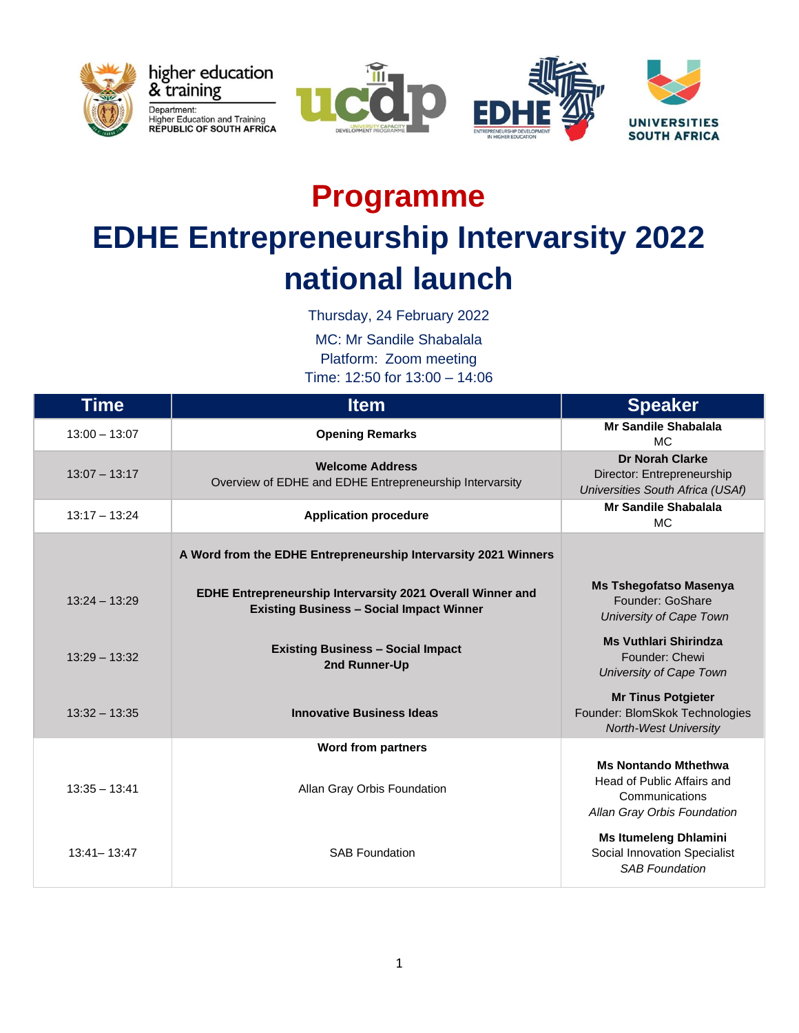

higher education<br>& training Department:<br>Higher Education and Training<br>REPUBLIC OF SOUTH AFRICA





## **Programme**

## **EDHE Entrepreneurship Intervarsity 2022 national launch**

Thursday, 24 February 2022

MC: Mr Sandile Shabalala

Platform: Zoom meeting

Time: 12:50 for 13:00 – 14:06

| <b>Time</b>     | <b>Item</b>                                                                                                   | <b>Speaker</b>                                                                                             |
|-----------------|---------------------------------------------------------------------------------------------------------------|------------------------------------------------------------------------------------------------------------|
| $13:00 - 13:07$ | <b>Opening Remarks</b>                                                                                        | <b>Mr Sandile Shabalala</b><br><b>MC</b>                                                                   |
| $13:07 - 13:17$ | <b>Welcome Address</b><br>Overview of EDHE and EDHE Entrepreneurship Intervarsity                             | <b>Dr Norah Clarke</b><br>Director: Entrepreneurship<br>Universities South Africa (USAf)                   |
| $13:17 - 13:24$ | <b>Application procedure</b>                                                                                  | Mr Sandile Shabalala<br><b>MC</b>                                                                          |
|                 | A Word from the EDHE Entrepreneurship Intervarsity 2021 Winners                                               |                                                                                                            |
| $13:24 - 13:29$ | EDHE Entrepreneurship Intervarsity 2021 Overall Winner and<br><b>Existing Business - Social Impact Winner</b> | <b>Ms Tshegofatso Masenya</b><br>Founder: GoShare<br>University of Cape Town                               |
| $13:29 - 13:32$ | <b>Existing Business - Social Impact</b><br>2nd Runner-Up                                                     | <b>Ms Vuthlari Shirindza</b><br>Founder: Chewi<br>University of Cape Town                                  |
| $13:32 - 13:35$ | <b>Innovative Business Ideas</b>                                                                              | <b>Mr Tinus Potgieter</b><br>Founder: BlomSkok Technologies<br><b>North-West University</b>                |
|                 | <b>Word from partners</b>                                                                                     |                                                                                                            |
| $13:35 - 13:41$ | Allan Gray Orbis Foundation                                                                                   | <b>Ms Nontando Mthethwa</b><br>Head of Public Affairs and<br>Communications<br>Allan Gray Orbis Foundation |
| $13:41 - 13:47$ | <b>SAB Foundation</b>                                                                                         | <b>Ms Itumeleng Dhlamini</b><br>Social Innovation Specialist<br><b>SAB Foundation</b>                      |